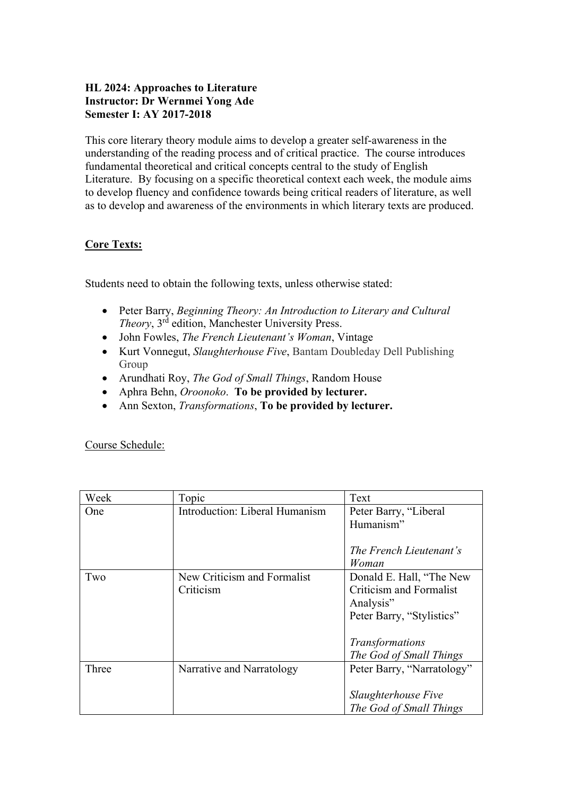# **HL 2024: Approaches to Literature Instructor: Dr Wernmei Yong Ade Semester I: AY 2017-2018**

This core literary theory module aims to develop a greater self-awareness in the understanding of the reading process and of critical practice. The course introduces fundamental theoretical and critical concepts central to the study of English Literature. By focusing on a specific theoretical context each week, the module aims to develop fluency and confidence towards being critical readers of literature, as well as to develop and awareness of the environments in which literary texts are produced.

## **Core Texts:**

Students need to obtain the following texts, unless otherwise stated:

- Peter Barry, *Beginning Theory: An Introduction to Literary and Cultural Theory*, 3rd edition, Manchester University Press.
- John Fowles, *The French Lieutenant's Woman*, Vintage
- Kurt Vonnegut, *Slaughterhouse Five*, Bantam Doubleday Dell Publishing Group
- Arundhati Roy, *The God of Small Things*, Random House
- Aphra Behn, *Oroonoko*. **To be provided by lecturer.**
- Ann Sexton, *Transformations*, **To be provided by lecturer.**

Course Schedule:

| Week       | Topic                          | Text                           |
|------------|--------------------------------|--------------------------------|
| <b>One</b> | Introduction: Liberal Humanism | Peter Barry, "Liberal          |
|            |                                | Humanism"                      |
|            |                                |                                |
|            |                                | The French Lieutenant's        |
|            |                                | Woman                          |
| Two        | New Criticism and Formalist    | Donald E. Hall, "The New       |
|            | Criticism                      | <b>Criticism and Formalist</b> |
|            |                                | Analysis"                      |
|            |                                | Peter Barry, "Stylistics"      |
|            |                                |                                |
|            |                                | Transformations                |
|            |                                | The God of Small Things        |
| Three      | Narrative and Narratology      | Peter Barry, "Narratology"     |
|            |                                |                                |
|            |                                | Slaughterhouse Five            |
|            |                                | The God of Small Things        |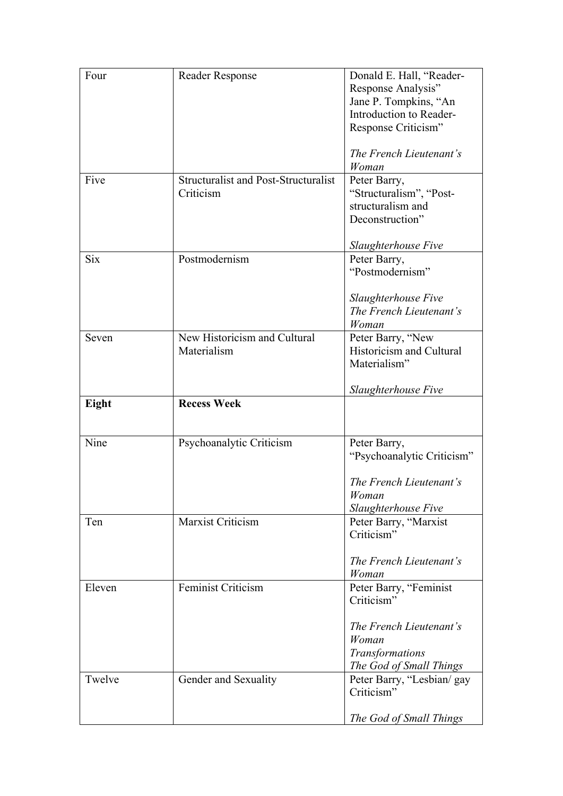| Four       | Reader Response                                          | Donald E. Hall, "Reader-<br>Response Analysis"<br>Jane P. Tompkins, "An<br>Introduction to Reader-<br>Response Criticism"<br>The French Lieutenant's |
|------------|----------------------------------------------------------|------------------------------------------------------------------------------------------------------------------------------------------------------|
| Five       | <b>Structuralist and Post-Structuralist</b><br>Criticism | Woman<br>Peter Barry,<br>"Structuralism", "Post-<br>structuralism and<br>Deconstruction"<br>Slaughterhouse Five                                      |
| <b>Six</b> | Postmodernism                                            | Peter Barry,<br>"Postmodernism"<br>Slaughterhouse Five<br>The French Lieutenant's<br>Woman                                                           |
| Seven      | New Historicism and Cultural<br>Materialism              | Peter Barry, "New<br>Historicism and Cultural<br>Materialism"<br>Slaughterhouse Five                                                                 |
|            |                                                          |                                                                                                                                                      |
| Eight      | <b>Recess Week</b>                                       |                                                                                                                                                      |
| Nine       | Psychoanalytic Criticism                                 | Peter Barry,<br>"Psychoanalytic Criticism"<br>The French Lieutenant's<br>Woman                                                                       |
| Ten        | Marxist Criticism                                        | Slaughterhouse Five<br>Peter Barry, "Marxist<br>Criticism"<br>The French Lieutenant's<br>Woman                                                       |
| Eleven     | Feminist Criticism                                       | Peter Barry, "Feminist<br>Criticism"<br>The French Lieutenant's<br>Woman<br>Transformations<br>The God of Small Things                               |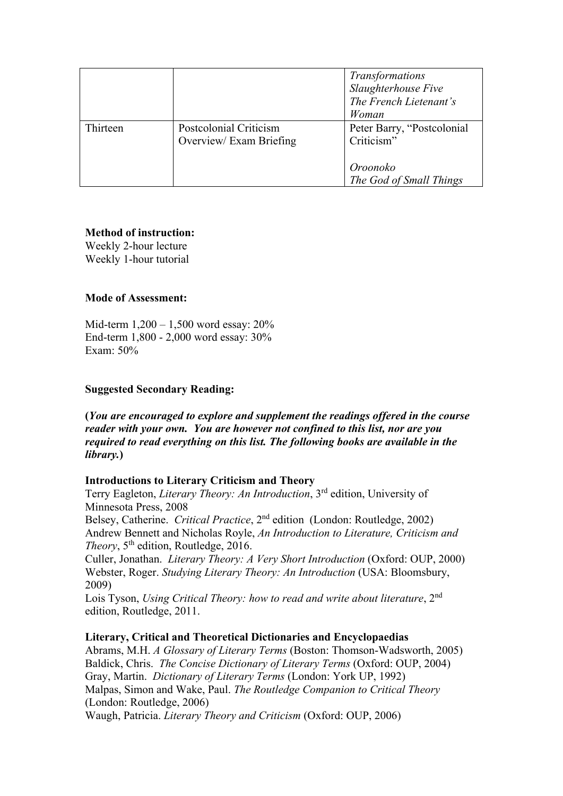|          |                                                   | Transformations<br>Slaughterhouse Five<br>The French Lietenant's<br>Woman       |
|----------|---------------------------------------------------|---------------------------------------------------------------------------------|
| Thirteen | Postcolonial Criticism<br>Overview/ Exam Briefing | Peter Barry, "Postcolonial<br>Criticism"<br>Oroonoko<br>The God of Small Things |

## **Method of instruction:**

Weekly 2-hour lecture Weekly 1-hour tutorial

## **Mode of Assessment:**

Mid-term 1,200 – 1,500 word essay: 20% End-term 1,800 - 2,000 word essay: 30% Exam: 50%

## **Suggested Secondary Reading:**

**(***You are encouraged to explore and supplement the readings offered in the course reader with your own. You are however not confined to this list, nor are you required to read everything on this list. The following books are available in the library.***)**

### **Introductions to Literary Criticism and Theory**

Terry Eagleton, *Literary Theory: An Introduction*, 3rd edition, University of Minnesota Press, 2008

Belsey, Catherine. *Critical Practice*, 2nd edition (London: Routledge, 2002) Andrew Bennett and Nicholas Royle, *An Introduction to Literature, Criticism and Theory*,  $5<sup>th</sup>$  edition, Routledge, 2016.

Culler, Jonathan. *Literary Theory: A Very Short Introduction* (Oxford: OUP, 2000) Webster, Roger. *Studying Literary Theory: An Introduction* (USA: Bloomsbury, 2009)

Lois Tyson, *Using Critical Theory: how to read and write about literature*, 2nd edition, Routledge, 2011.

### **Literary, Critical and Theoretical Dictionaries and Encyclopaedias**

Abrams, M.H. *A Glossary of Literary Terms* (Boston: Thomson-Wadsworth, 2005) Baldick, Chris. *The Concise Dictionary of Literary Terms* (Oxford: OUP, 2004) Gray, Martin. *Dictionary of Literary Terms* (London: York UP, 1992) Malpas, Simon and Wake, Paul. *The Routledge Companion to Critical Theory* (London: Routledge, 2006) Waugh, Patricia. *Literary Theory and Criticism* (Oxford: OUP, 2006)